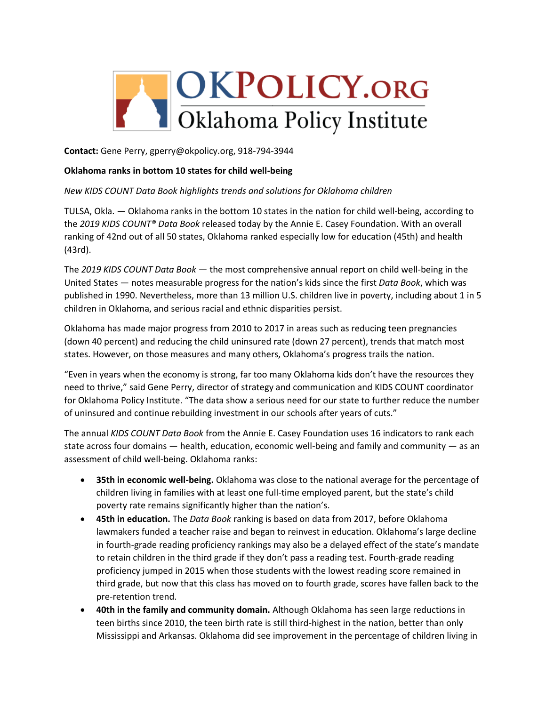

**Contact:** Gene Perry, gperry@okpolicy.org, 918-794-3944

#### **Oklahoma ranks in bottom 10 states for child well-being**

## *New KIDS COUNT Data Book highlights trends and solutions for Oklahoma children*

TULSA, Okla. — Oklahoma ranks in the bottom 10 states in the nation for child well-being, according to the *2019 KIDS COUNT® Data Book* released today by the Annie E. Casey Foundation. With an overall ranking of 42nd out of all 50 states, Oklahoma ranked especially low for education (45th) and health (43rd).

The *2019 KIDS COUNT Data Book* — the most comprehensive annual report on child well-being in the United States — notes measurable progress for the nation's kids since the first *Data Book*, which was published in 1990. Nevertheless, more than 13 million U.S. children live in poverty, including about 1 in 5 children in Oklahoma, and serious racial and ethnic disparities persist.

Oklahoma has made major progress from 2010 to 2017 in areas such as reducing teen pregnancies (down 40 percent) and reducing the child uninsured rate (down 27 percent), trends that match most states. However, on those measures and many others, Oklahoma's progress trails the nation.

"Even in years when the economy is strong, far too many Oklahoma kids don't have the resources they need to thrive," said Gene Perry, director of strategy and communication and KIDS COUNT coordinator for Oklahoma Policy Institute. "The data show a serious need for our state to further reduce the number of uninsured and continue rebuilding investment in our schools after years of cuts."

The annual *KIDS COUNT Data Book* from the Annie E. Casey Foundation uses 16 indicators to rank each state across four domains  $-$  health, education, economic well-being and family and community  $-$  as an assessment of child well-being. Oklahoma ranks:

- **35th in economic well-being.** Oklahoma was close to the national average for the percentage of children living in families with at least one full-time employed parent, but the state's child poverty rate remains significantly higher than the nation's.
- **45th in education.** The *Data Book* ranking is based on data from 2017, before Oklahoma lawmakers funded a teacher raise and began to reinvest in education. Oklahoma's large decline in fourth-grade reading proficiency rankings may also be a delayed effect of the state's mandate to retain children in the third grade if they don't pass a reading test. Fourth-grade reading proficiency jumped in 2015 when those students with the lowest reading score remained in third grade, but now that this class has moved on to fourth grade, scores have fallen back to the pre-retention trend.
- **40th in the family and community domain.** Although Oklahoma has seen large reductions in teen births since 2010, the teen birth rate is still third-highest in the nation, better than only Mississippi and Arkansas. Oklahoma did see improvement in the percentage of children living in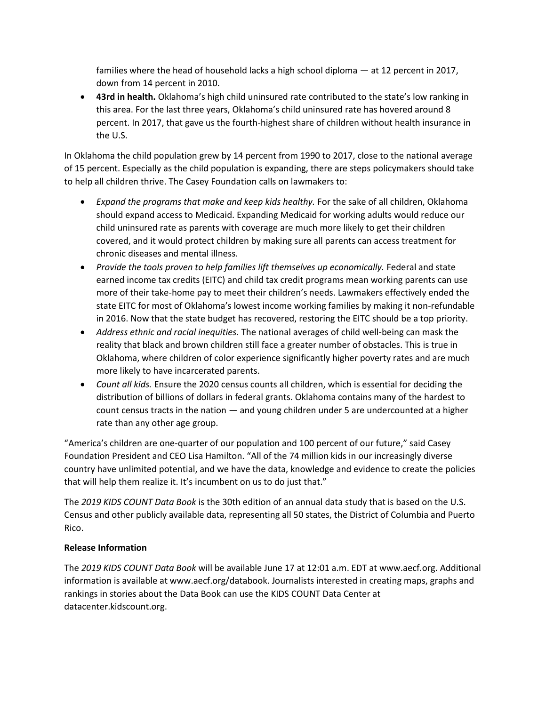families where the head of household lacks a high school diploma — at 12 percent in 2017, down from 14 percent in 2010.

• **43rd in health.** Oklahoma's high child uninsured rate contributed to the state's low ranking in this area. For the last three years, Oklahoma's child uninsured rate has hovered around 8 percent. In 2017, that gave us the fourth-highest share of children without health insurance in the U.S.

In Oklahoma the child population grew by 14 percent from 1990 to 2017, close to the national average of 15 percent. Especially as the child population is expanding, there are steps policymakers should take to help all children thrive. The Casey Foundation calls on lawmakers to:

- *Expand the programs that make and keep kids healthy.* For the sake of all children, Oklahoma should expand access to Medicaid. Expanding Medicaid for working adults would reduce our child uninsured rate as parents with coverage are much more likely to get their children covered, and it would protect children by making sure all parents can access treatment for chronic diseases and mental illness.
- Provide the tools proven to help families lift themselves up economically. Federal and state earned income tax credits (EITC) and child tax credit programs mean working parents can use more of their take-home pay to meet their children's needs. Lawmakers effectively ended the state EITC for most of Oklahoma's lowest income working families by making it non-refundable in 2016. Now that the state budget has recovered, restoring the EITC should be a top priority.
- *Address ethnic and racial inequities.* The national averages of child well-being can mask the reality that black and brown children still face a greater number of obstacles. This is true in Oklahoma, where children of color experience significantly higher poverty rates and are much more likely to have incarcerated parents.
- *Count all kids.* Ensure the 2020 census counts all children, which is essential for deciding the distribution of billions of dollars in federal grants. Oklahoma contains many of the hardest to count census tracts in the nation — and young children under 5 are undercounted at a higher rate than any other age group.

"America's children are one-quarter of our population and 100 percent of our future," said Casey Foundation President and CEO Lisa Hamilton. "All of the 74 million kids in our increasingly diverse country have unlimited potential, and we have the data, knowledge and evidence to create the policies that will help them realize it. It's incumbent on us to do just that."

The *2019 KIDS COUNT Data Book* is the 30th edition of an annual data study that is based on the U.S. Census and other publicly available data, representing all 50 states, the District of Columbia and Puerto Rico.

# **Release Information**

The *2019 KIDS COUNT Data Book* will be available June 17 at 12:01 a.m. EDT at www.aecf.org. Additional information is available at www.aecf.org/databook. Journalists interested in creating maps, graphs and rankings in stories about the Data Book can use the KIDS COUNT Data Center at datacenter.kidscount.org.